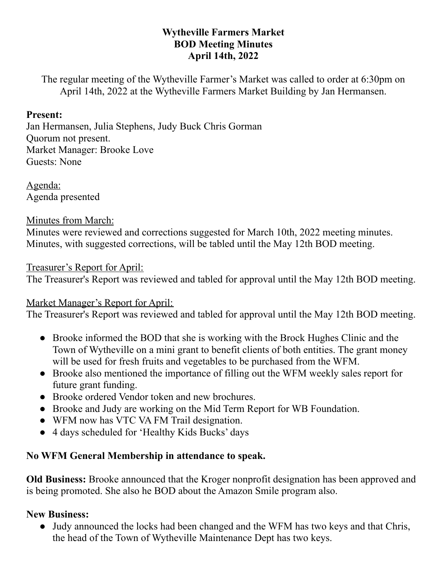### **Wytheville Farmers Market BOD Meeting Minutes April 14th, 2022**

The regular meeting of the Wytheville Farmer's Market was called to order at 6:30pm on April 14th, 2022 at the Wytheville Farmers Market Building by Jan Hermansen.

#### **Present:**

Jan Hermansen, Julia Stephens, Judy Buck Chris Gorman Quorum not present. Market Manager: Brooke Love Guests: None

Agenda: Agenda presented

Minutes from March:

Minutes were reviewed and corrections suggested for March 10th, 2022 meeting minutes. Minutes, with suggested corrections, will be tabled until the May 12th BOD meeting.

### Treasurer's Report for April:

The Treasurer's Report was reviewed and tabled for approval until the May 12th BOD meeting.

### Market Manager's Report for April:

The Treasurer's Report was reviewed and tabled for approval until the May 12th BOD meeting.

- Brooke informed the BOD that she is working with the Brock Hughes Clinic and the Town of Wytheville on a mini grant to benefit clients of both entities. The grant money will be used for fresh fruits and vegetables to be purchased from the WFM.
- Brooke also mentioned the importance of filling out the WFM weekly sales report for future grant funding.
- Brooke ordered Vendor token and new brochures.
- Brooke and Judy are working on the Mid Term Report for WB Foundation.
- WFM now has VTC VA FM Trail designation.
- 4 days scheduled for 'Healthy Kids Bucks' days

# **No WFM General Membership in attendance to speak.**

**Old Business:** Brooke announced that the Kroger nonprofit designation has been approved and is being promoted. She also he BOD about the Amazon Smile program also.

# **New Business:**

• Judy announced the locks had been changed and the WFM has two keys and that Chris, the head of the Town of Wytheville Maintenance Dept has two keys.